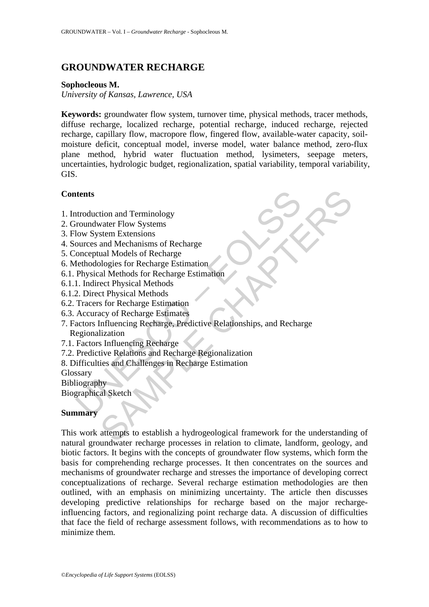# **GROUNDWATER RECHARGE**

#### **Sophocleous M.**

*University of Kansas, Lawrence, USA* 

**Keywords:** groundwater flow system, turnover time, physical methods, tracer methods, diffuse recharge, localized recharge, potential recharge, induced recharge, rejected recharge, capillary flow, macropore flow, fingered flow, available-water capacity, soilmoisture deficit, conceptual model, inverse model, water balance method, zero-flux plane method, hybrid water fluctuation method, lysimeters, seepage meters, uncertainties, hydrologic budget, regionalization, spatial variability, temporal variability, GIS.

# **Contents**

- 1. Introduction and Terminology
- 2. Groundwater Flow Systems
- 3. Flow System Extensions
- 4. Sources and Mechanisms of Recharge
- 5. Conceptual Models of Recharge
- 6. Methodologies for Recharge Estimation
- 6.1. Physical Methods for Recharge Estimation
- 6.1.1. Indirect Physical Methods
- 6.1.2. Direct Physical Methods
- 6.2. Tracers for Recharge Estimation
- 6.3. Accuracy of Recharge Estimates
- **thents**<br>
Introduction and Terminology<br>
Iroundwater Flow Systems<br>
Iow System Extensions<br>
Iow System Extensions<br>
Iow System Extensions<br>
Intract Physical Methods<br>
Physical Methods<br>
2. Direct Physical Methods<br>
2. Direct Physi tion and Terminology<br>
vater Flow Systems<br>
stem Extensions<br>
stem Extensions<br>
and Models of Recharge<br>
ulogies for Recharge Estimation<br>
al Methods<br>
cor Physical Methods<br>
ct Physical Methods<br>
or Recharge Estimation<br>
ct Physica 7. Factors Influencing Recharge, Predictive Relationships, and Recharge Regionalization
- 7.1. Factors Influencing Recharge
- 7.2. Predictive Relations and Recharge Regionalization
- 8. Difficulties and Challenges in Recharge Estimation

Glossary

Bibliography

Biographical Sketch

## **Summary**

This work attempts to establish a hydrogeological framework for the understanding of natural groundwater recharge processes in relation to climate, landform, geology, and biotic factors. It begins with the concepts of groundwater flow systems, which form the basis for comprehending recharge processes. It then concentrates on the sources and mechanisms of groundwater recharge and stresses the importance of developing correct conceptualizations of recharge. Several recharge estimation methodologies are then outlined, with an emphasis on minimizing uncertainty. The article then discusses developing predictive relationships for recharge based on the major rechargeinfluencing factors, and regionalizing point recharge data. A discussion of difficulties that face the field of recharge assessment follows, with recommendations as to how to minimize them.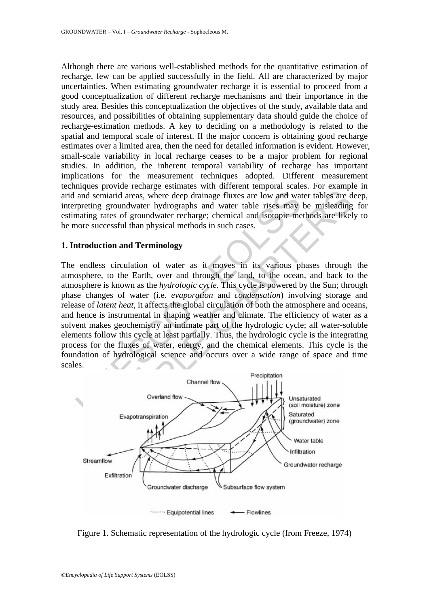Although there are various well-established methods for the quantitative estimation of recharge, few can be applied successfully in the field. All are characterized by major uncertainties. When estimating groundwater recharge it is essential to proceed from a good conceptualization of different recharge mechanisms and their importance in the study area. Besides this conceptualization the objectives of the study, available data and resources, and possibilities of obtaining supplementary data should guide the choice of recharge-estimation methods. A key to deciding on a methodology is related to the spatial and temporal scale of interest. If the major concern is obtaining good recharge estimates over a limited area, then the need for detailed information is evident. However, small-scale variability in local recharge ceases to be a major problem for regional studies. In addition, the inherent temporal variability of recharge has important implications for the measurement techniques adopted. Different measurement techniques provide recharge estimates with different temporal scales. For example in arid and semiarid areas, where deep drainage fluxes are low and water tables are deep, interpreting groundwater hydrographs and water table rises may be misleading for estimating rates of groundwater recharge; chemical and isotopic methods are likely to be more successful than physical methods in such cases.

## **1. Introduction and Terminology**

and semiarid areas, where deep drainage fluxes are low and wat<br>preting groundwater hydrographs and water table rises may<br>mating rates of groundwater recharge; chemical and isotopic me<br>once successful than physical methods maind areas, where deep drainage fluxes are low and water tables are depresenting a groundwater hydrographs and water table rises may be misleading rates of groundwater recharge; chemical and isotopic methods are likel<br>cce The endless circulation of water as it moves in its various phases through the atmosphere, to the Earth, over and through the land, to the ocean, and back to the atmosphere is known as the *hydrologic cycle*. This cycle is powered by the Sun; through phase changes of water (i.e. *evaporation* and *condensation*) involving storage and release of *latent heat*, it affects the global circulation of both the atmosphere and oceans, and hence is instrumental in shaping weather and climate. The efficiency of water as a solvent makes geochemistry an intimate part of the hydrologic cycle; all water-soluble elements follow this cycle at least partially. Thus, the hydrologic cycle is the integrating process for the fluxes of water, energy, and the chemical elements. This cycle is the foundation of hydrological science and occurs over a wide range of space and time scales.



Figure 1. Schematic representation of the hydrologic cycle (from Freeze, 1974)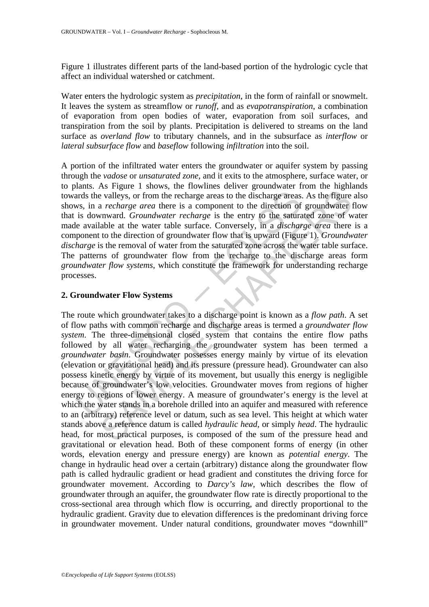Figure 1 illustrates different parts of the land-based portion of the hydrologic cycle that affect an individual watershed or catchment.

Water enters the hydrologic system as *precipitation*, in the form of rainfall or snowmelt. It leaves the system as streamflow or *runoff*, and as *evapotranspiration*, a combination of evaporation from open bodies of water, evaporation from soil surfaces, and transpiration from the soil by plants. Precipitation is delivered to streams on the land surface as *overland flow* to tributary channels, and in the subsurface as *interflow* or *lateral subsurface flow* and *baseflow* following *infiltration* into the soil.

A portion of the infiltrated water enters the groundwater or aquifer system by passing through the *vadose* or *unsaturated zone*, and it exits to the atmosphere, surface water, or to plants. As Figure 1 shows, the flowlines deliver groundwater from the highlands towards the valleys, or from the recharge areas to the discharge areas. As the figure also shows, in a *recharge area* there is a component to the direction of groundwater flow that is downward. *Groundwater recharge* is the entry to the saturated zone of water made available at the water table surface. Conversely, in a *discharge area* there is a component to the direction of groundwater flow that is upward (Figure 1). *Groundwater discharge* is the removal of water from the saturated zone across the water table surface. The patterns of groundwater flow from the recharge to the discharge areas form *groundwater flow systems*, which constitute the framework for understanding recharge processes.

## **2. Groundwater Flow Systems**

ards the valleys, or from the recharge areas to the discharge areas<br>so, in a *recharge area* there is a component to the direction of<br>is downward. *Groundwater recharge* is the entry to the satura<br>le available at the water is valleys, or from the recharge areas to the discharge areas. As the figure a *recharge area* there is a component to the direction of groundwater *recharge area* there is a component to the direction of groundwater rela The route which groundwater takes to a discharge point is known as a *flow path*. A set of flow paths with common recharge and discharge areas is termed a *groundwater flow system*. The three-dimensional closed system that contains the entire flow paths followed by all water recharging the groundwater system has been termed a *groundwater basin*. Groundwater possesses energy mainly by virtue of its elevation (elevation or gravitational head) and its pressure (pressure head). Groundwater can also possess kinetic energy by virtue of its movement, but usually this energy is negligible because of groundwater's low velocities. Groundwater moves from regions of higher energy to regions of lower energy. A measure of groundwater's energy is the level at which the water stands in a borehole drilled into an aquifer and measured with reference to an (arbitrary) reference level or datum, such as sea level. This height at which water stands above a reference datum is called *hydraulic head*, or simply *head*. The hydraulic head, for most practical purposes, is composed of the sum of the pressure head and gravitational or elevation head. Both of these component forms of energy (in other words, elevation energy and pressure energy) are known as *potential energy*. The change in hydraulic head over a certain (arbitrary) distance along the groundwater flow path is called hydraulic gradient or head gradient and constitutes the driving force for groundwater movement. According to *Darcy's law*, which describes the flow of groundwater through an aquifer, the groundwater flow rate is directly proportional to the cross-sectional area through which flow is occurring, and directly proportional to the hydraulic gradient. Gravity due to elevation differences is the predominant driving force in groundwater movement. Under natural conditions, groundwater moves "downhill"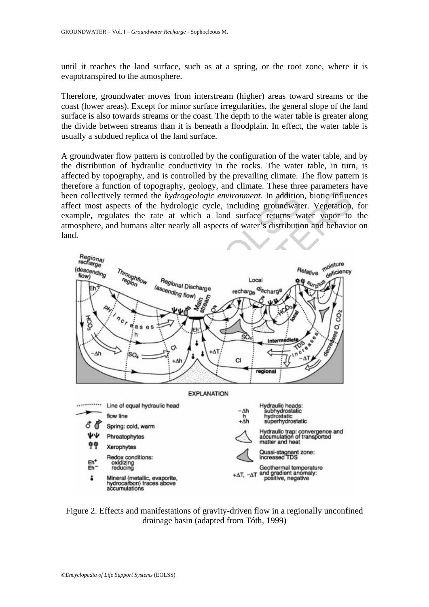until it reaches the land surface, such as at a spring, or the root zone, where it is evapotranspired to the atmosphere.

Therefore, groundwater moves from interstream (higher) areas toward streams or the coast (lower areas). Except for minor surface irregularities, the general slope of the land surface is also towards streams or the coast. The depth to the water table is greater along the divide between streams than it is beneath a floodplain. In effect, the water table is usually a subdued replica of the land surface.

A groundwater flow pattern is controlled by the configuration of the water table, and by the distribution of hydraulic conductivity in the rocks. The water table, in turn, is affected by topography, and is controlled by the prevailing climate. The flow pattern is therefore a function of topography, geology, and climate. These three parameters have been collectively termed the *hydrogeologic environment*. In addition, biotic influences affect most aspects of the hydrologic cycle, including groundwater. Vegetation, for example, regulates the rate at which a land surface returns water vapor to the atmosphere, and humans alter nearly all aspects of water's distribution and behavior on land.



Figure 2. Effects and manifestations of gravity-driven flow in a regionally unconfined drainage basin (adapted from Tóth, 1999)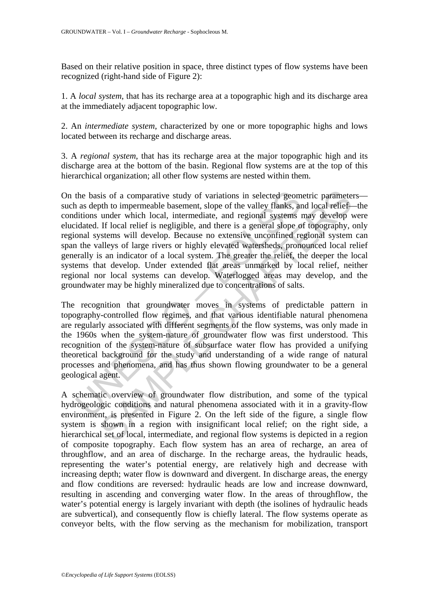Based on their relative position in space, three distinct types of flow systems have been recognized (right-hand side of Figure 2):

1. A *local system*, that has its recharge area at a topographic high and its discharge area at the immediately adjacent topographic low.

2. An *intermediate system*, characterized by one or more topographic highs and lows located between its recharge and discharge areas.

3. A *regional system*, that has its recharge area at the major topographic high and its discharge area at the bottom of the basin. Regional flow systems are at the top of this hierarchical organization; all other flow systems are nested within them.

the basis of a comparative study of variations in selected geom<br>as depth to impermeable basement, slope of the valley flanks, an<br>ditions under which local, intermediate, and regional systems i<br>diated. If local relief is ne is of a comparative study of variations in selected geometric paramete<br>oth to impermeable basement, slope of the valley flanks, and local relief-<br>under which local, intermediate, and regional systems may develop<br>by IF loca On the basis of a comparative study of variations in selected geometric parameters such as depth to impermeable basement, slope of the valley flanks, and local relief—the conditions under which local, intermediate, and regional systems may develop were elucidated. If local relief is negligible, and there is a general slope of topography, only regional systems will develop. Because no extensive unconfined regional system can span the valleys of large rivers or highly elevated watersheds, pronounced local relief generally is an indicator of a local system. The greater the relief, the deeper the local systems that develop. Under extended flat areas unmarked by local relief, neither regional nor local systems can develop. Waterlogged areas may develop, and the groundwater may be highly mineralized due to concentrations of salts.

The recognition that groundwater moves in systems of predictable pattern in topography-controlled flow regimes, and that various identifiable natural phenomena are regularly associated with different segments of the flow systems, was only made in the 1960s when the system-nature of groundwater flow was first understood. This recognition of the system-nature of subsurface water flow has provided a unifying theoretical background for the study and understanding of a wide range of natural processes and phenomena, and has thus shown flowing groundwater to be a general geological agent.

A schematic overview of groundwater flow distribution, and some of the typical hydrogeologic conditions and natural phenomena associated with it in a gravity-flow environment, is presented in Figure 2. On the left side of the figure, a single flow system is shown in a region with insignificant local relief; on the right side, a hierarchical set of local, intermediate, and regional flow systems is depicted in a region of composite topography. Each flow system has an area of recharge, an area of throughflow, and an area of discharge. In the recharge areas, the hydraulic heads, representing the water's potential energy, are relatively high and decrease with increasing depth; water flow is downward and divergent. In discharge areas, the energy and flow conditions are reversed: hydraulic heads are low and increase downward, resulting in ascending and converging water flow. In the areas of throughflow, the water's potential energy is largely invariant with depth (the isolines of hydraulic heads are subvertical), and consequently flow is chiefly lateral. The flow systems operate as conveyor belts, with the flow serving as the mechanism for mobilization, transport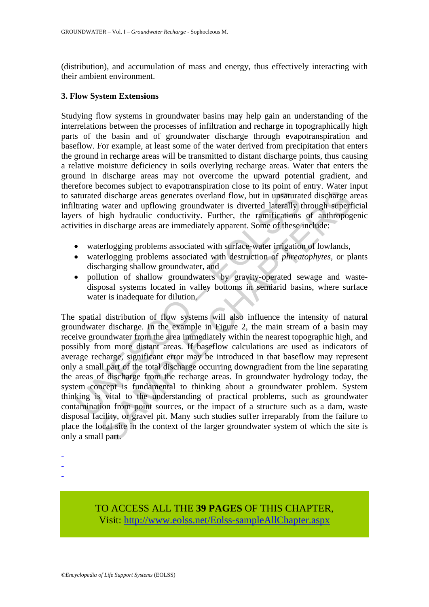(distribution), and accumulation of mass and energy, thus effectively interacting with their ambient environment.

#### **3. Flow System Extensions**

Studying flow systems in groundwater basins may help gain an understanding of the interrelations between the processes of infiltration and recharge in topographically high parts of the basin and of groundwater discharge through evapotranspiration and baseflow. For example, at least some of the water derived from precipitation that enters the ground in recharge areas will be transmitted to distant discharge points, thus causing a relative moisture deficiency in soils overlying recharge areas. Water that enters the ground in discharge areas may not overcome the upward potential gradient, and therefore becomes subject to evapotranspiration close to its point of entry. Water input to saturated discharge areas generates overland flow, but in unsaturated discharge areas infiltrating water and upflowing groundwater is diverted laterally through superficial layers of high hydraulic conductivity. Further, the ramifications of anthropogenic activities in discharge areas are immediately apparent. Some of these include:

- waterlogging problems associated with surface-water irrigation of lowlands,
- waterlogging problems associated with destruction of *phreatophytes*, or plants discharging shallow groundwater, and
- pollution of shallow groundwaters by gravity-operated sewage and wastedisposal systems located in valley bottoms in semiarid basins, where surface water is inadequate for dilution.

Internal discharge areas generates overland flow, but in unsaturated discharge areas generates overland flow, but in unsaturated training water and upflowing groundwater is diverted laterally tyrs of high hydraulic conduct I discharge areas generates overland flow, but in unsaturated discharge areas generates overland flow, but in unsaturated discharge water and upflowing groundwater is diverted laterally through superfligh hydraulic conduct The spatial distribution of flow systems will also influence the intensity of natural groundwater discharge. In the example in Figure 2, the main stream of a basin may receive groundwater from the area immediately within the nearest topographic high, and possibly from more distant areas. If baseflow calculations are used as indicators of average recharge, significant error may be introduced in that baseflow may represent only a small part of the total discharge occurring downgradient from the line separating the areas of discharge from the recharge areas. In groundwater hydrology today, the system concept is fundamental to thinking about a groundwater problem. System thinking is vital to the understanding of practical problems, such as groundwater contamination from point sources, or the impact of a structure such as a dam, waste disposal facility, or gravel pit. Many such studies suffer irreparably from the failure to place the local site in the context of the larger groundwater system of which the site is only a small part.

- -
- -
- -

TO ACCESS ALL THE **39 PAGES** OF THIS CHAPTER, Visit[: http://www.eolss.net/Eolss-sampleAllChapter.aspx](https://www.eolss.net/ebooklib/sc_cart.aspx?File=E2-09-01-05)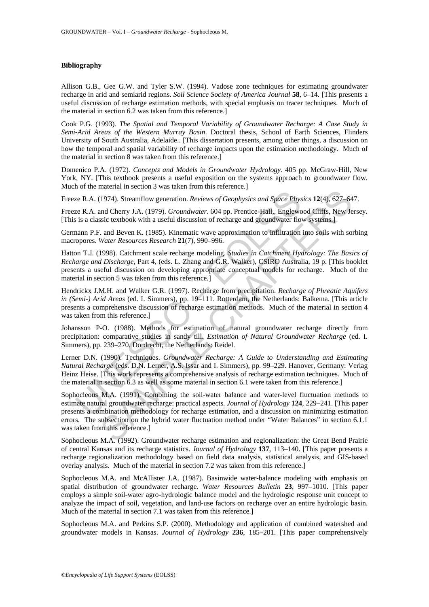#### **Bibliography**

Allison G.B., Gee G.W. and Tyler S.W. (1994). Vadose zone techniques for estimating groundwater recharge in arid and semiarid regions. *Soil Science Society of America Journal* **58**, 6–14. [This presents a useful discussion of recharge estimation methods, with special emphasis on tracer techniques. Much of the material in section 6.2 was taken from this reference.]

Cook P.G. (1993). *The Spatial and Temporal Variability of Groundwater Recharge: A Case Study in Semi-Arid Areas of the Western Murray Basin*. Doctoral thesis, School of Earth Sciences, Flinders University of South Australia, Adelaide.. [This dissertation presents, among other things, a discussion on how the temporal and spatial variability of recharge impacts upon the estimation methodology. Much of the material in section 8 was taken from this reference.]

Domenico P.A. (1972). *Concepts and Models in Groundwater Hydrology*. 405 pp. McGraw-Hill, New York, NY. [This textbook presents a useful exposition on the systems approach to groundwater flow. Much of the material in section 3 was taken from this reference.]

Freeze R.A. (1974). Streamflow generation. *Reviews of Geophysics and Space Physics* **12**(4), 627–647.

Freeze R.A. and Cherry J.A. (1979). *Groundwater*. 604 pp. Prentice-Hall,, Englewood Cliffs, New Jersey. [This is a classic textbook with a useful discussion of recharge and groundwater flow systems.]

Germann P.F. and Beven K. (1985). Kinematic wave approximation to infiltration into soils with sorbing macropores. *Water Resources Research* **21**(7), 990–996.

ze R.A. (1974). Streamflow generation. *Reviews of Geophysics and Space Physics* (1974). Groundwater. 604 pp. Prentice-Hall, Englew is a classic textbook with a useful discussion of recharge and groundwater flows is a clas Hatton T.J. (1998). Catchment scale recharge modeling. *Studies in Catchment Hydrology: The Basics of Recharge and Discharge,* Part 4, (eds. L. Zhang and G.R. Walker), CSIRO Australia, 19 p. [This booklet presents a useful discussion on developing appropriate conceptual models for recharge. Much of the material in section 5 was taken from this reference.]

Hendrickx J.M.H. and Walker G.R. (1997). Recharge from precipitation. *Recharge of Phreatic Aquifers in (Semi-) Arid Areas* (ed. I. Simmers), pp. 19–111. Rotterdam, the Netherlands: Balkema. [This article presents a comprehensive discussion of recharge estimation methods. Much of the material in section 4 was taken from this reference.]

Johansson P-O. (1988). Methods for estimation of natural groundwater recharge directly from precipitation: comparative studies in sandy till. *Estimation of Natural Groundwater Recharge* (ed. I. Simmers), pp. 239–270. Dordrecht, the Netherlands: Reidel.

Lerner D.N. (1990). Techniques. *Groundwater Recharge: A Guide to Understanding and Estimating Natural Recharge* (eds. D.N. Lerner, A.S. Issar and I. Simmers), pp. 99–229. Hanover, Germany: Verlag Heinz Heise. [This work represents a comprehensive analysis of recharge estimation techniques. Much of the material in section 6.3 as well as some material in section 6.1 were taken from this reference.]

(1974). Streamflow generation. *Reviews of Geophysics and Space Physics* 12(4), 627–64<br>
and Cherry J.A. (1979). *Groundwater*. 604 pp. Prentice-Hall., Englewood Cliffs. New Jessic textbook with a useful discussion of rech Sophocleous M.A. (1991). Combining the soil-water balance and water-level fluctuation methods to estimate natural groundwater recharge: practical aspects. *Journal of Hydrology* **124**, 229–241. [This paper presents a combination methodology for recharge estimation, and a discussion on minimizing estimation errors. The subsection on the hybrid water fluctuation method under "Water Balances" in section 6.1.1 was taken from this reference.]

Sophocleous M.A. (1992). Groundwater recharge estimation and regionalization: the Great Bend Prairie of central Kansas and its recharge statistics. *Journal of Hydrology* **137**, 113–140. [This paper presents a recharge regionalization methodology based on field data analysis, statistical analysis, and GIS-based overlay analysis. Much of the material in section 7.2 was taken from this reference.]

Sophocleous M.A. and McAllister J.A. (1987). Basinwide water-balance modeling with emphasis on spatial distribution of groundwater recharge. *Water Resources Bulletin* **23**, 997–1010. [This paper employs a simple soil-water agro-hydrologic balance model and the hydrologic response unit concept to analyze the impact of soil, vegetation, and land-use factors on recharge over an entire hydrologic basin. Much of the material in section 7.1 was taken from this reference.]

Sophocleous M.A. and Perkins S.P. (2000). Methodology and application of combined watershed and groundwater models in Kansas. *Journal of Hydrology* **236**, 185–201. [This paper comprehensively